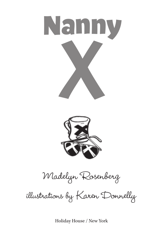



Madelyn Rosenberg

illustrations by Karen Donnelly

Holiday House / New York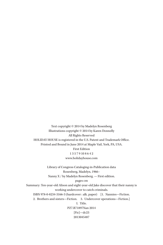Text copyright © 2014 by Madelyn Rosenberg Illustrations copyright © 2014 by Karen Donnelly All Rights Reserved HOLIDAY HOUSE is registered in the U.S. Patent and Trademark Office. Printed and Bound in June 2014 at Maple Vail, York, PA, USA. First Edition 1 3 5 7 9 10 8 6 4 2 www.holidayhouse.com

> Library of Congress Cataloging-in-Publication data Rosenberg, Madelyn, 1966– Nanny X / by Madelyn Rosenberg. — First edition.

> > pages cm

Summary: Ten-year-old Alison and eight-year-old Jake discover that their nanny is working undercover to catch criminals. ISBN 978-0-8234-3166-3 (hardcover : alk. paper) [1. Nannies—Fiction. 2. Brothers and sisters—Fiction. 3. Undercover operations—Fiction.] I. Title.

> PZ7.R71897Nan 2014 [Fic]—dc23 2013045487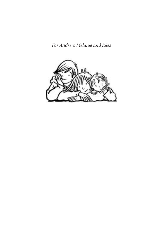*For Andrew, Melanie and Jules*

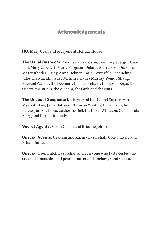## Acknowledgements

**HQ:** Mary Cash and everyone at Holiday House

**The Usual Suspects:** Anamaria Anderson, Tom Angleberger, Cece Bell, Mary Crockett, Marfé Ferguson Delano, Moira Rose Donohue, Marty Rhodes Figley, Anna Hebner, Carla Heymsfeld, Jacqueline Jules, Liz Macklin, Suzy McIntire, Laura Murray, Wendy Shang, Rachael Walker, the Deemers, the Lazorchaks, the Rosenbergs, the Striers, the Briers, the A-Team, the Girls and the Nuts.

**The Unusual Suspects:** Kathryn Erskine, Laurel Snyder, Margie Myers-Culver, Jama Rattigan, Tamson Weston, Dana Cann, Jim Beane, Jim Mathews, Catherine Bell, Kathleen Wheaton, Carmelinda Blagg and Karen Donnelly.

**Secret Agents:** Susan Cohen and Brianne Johnson.

**Special Agents:** Graham and Karina Lazorchak, Cole Snavely and Ethan Burka.

**Special Ops:** Butch Lazorchak and everyone who taste-tested the coconut smoothies and peanut butter and anchovy sandwiches.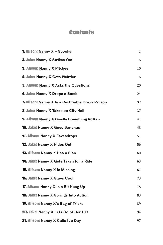## **Contents**

| <b>1.</b> Alison: Nanny $X =$ Spooky             | $\mathbf{1}$ |
|--------------------------------------------------|--------------|
| 2. Jake: Nanny X Strikes Out                     | 6            |
| <b>3. Alison: Nanny X Pitches</b>                | 10           |
| 4. Jake: Nanny X Gets Weirder                    | 16           |
| <b>5. Alison: Nanny X Asks the Questions</b>     | 20           |
| <b>6. Jake: Nanny X Drops a Bomb</b>             | 24           |
| 7. Alison: Nanny X Is a Certifiable Crazy Person | 32           |
| <b>8. Jake: Nanny X Takes on City Hall</b>       | 37           |
| 9. Alison: Nanny X Smells Something Rotten       | 41           |
| 10. Jake: Nanny X Goes Bananas                   | 48           |
| <b>11. Alison: Nanny X Eavesdrops</b>            | 51           |
| <b>12. Jake: Nanny X Hides Out</b>               | 56           |
| <b>13. Alison: Nanny X Has a Plan</b>            | 60           |
| 14. Jake: Nanny X Gets Taken for a Ride          | 63           |
| <b>15. Alison: Nanny X Is Missing</b>            | 67           |
| <b>16. Jake: Nanny X Stays Cool</b>              | 73           |
| <b>17. Alison: Nanny X Is a Bit Hung Up</b>      | 78           |
| 18. Jake: Nanny X Springs Into Action            | 83           |
| 19. Alison: Nanny X's Bag of Tricks              | 89           |
| 20. Jake: Nanny X Lets Go of Her Hat             | 94           |
| 21. Alison: Nanny X Calls It a Day               | 97           |
|                                                  |              |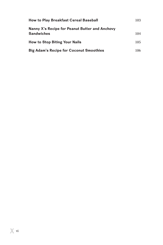| How to Play Breakfast Cereal Baseball                               | 103 |
|---------------------------------------------------------------------|-----|
| Nanny X's Recipe for Peanut Butter and Anchovy<br><b>Sandwiches</b> | 104 |
| <b>How to Stop Biting Your Nails</b>                                | 105 |
| <b>Big Adam's Recipe for Coconut Smoothies</b>                      | 106 |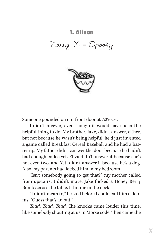## 1. Alison

Nanny X = Spooky



Someone pounded on our front door at 7:29 A.M.

I didn't answer, even though it would have been the helpful thing to do. My brother, Jake, didn't answer, either, but not because he wasn't being helpful; he'd just invented a game called Breakfast Cereal Baseball and he had a batter up. My father didn't answer the door because he hadn't had enough coffee yet. Eliza didn't answer it because she's not even two, and Yeti didn't answer it because he's a dog. Also, my parents had locked him in my bedroom.

"Isn't somebody going to get that?" my mother called from upstairs. I didn't move. Jake flicked a Honey Berry Bomb across the table. It hit me in the neck.

"I didn't mean to," he said before I could call him a doofus. "Guess that's an out."

*Thud. Thud. Thud.* The knocks came louder this time, like somebody shouting at us in Morse code. Then came the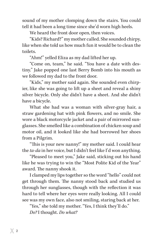sound of my mother clomping down the stairs. You could tell it had been a long time since she'd worn high heels.

We heard the front door open, then voices.

"Kids? Richard?" my mother called. She sounded chirpy, like when she told us how much fun it would be to clean the toilets.

"Ahm!" yelled Eliza as my dad lifted her up.

"Come on, team," he said. "You have a date with destiny." Jake popped one last Berry Bomb into his mouth as we followed my dad to the front door.

"Kids," my mother said again. She sounded even chirpier, like she was going to lift up a sheet and reveal a shiny silver bicycle. Only she didn't have a sheet. And she didn't have a bicycle.

What she had was a woman with silver-gray hair, a straw gardening hat with pink flowers, and no smile. She wore a black motorcycle jacket and a pair of mirrored sunglasses. She smelled like a combination of chicken soup and motor oil, and it looked like she had borrowed her shoes from a Pilgrim.

"This is your new nanny!" my mother said. I could hear the *ta-da* in her voice, but I didn't feel like I'd won anything.

"Pleased to meet you," Jake said, sticking out his hand like he was trying to win the "Most Polite Kid of the Year" award. The nanny shook it.

I clamped my lips together so the word "hello" could not get through them. The nanny stood back and studied us through her sunglasses, though with the reflection it was hard to tell where her eyes were really looking. All I could see was my own face, also not smiling, staring back at her.

"Yes," she told my mother. "Yes, I think they'll do." *Do?* I thought. *Do what?*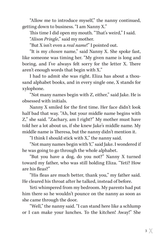"Allow me to introduce myself," the nanny continued, getting down to business. "I am Nanny X."

This time I did open my mouth. "That's weird," I said. "*Alison Pringle*," said my mother.

"But X isn't even a *real name*!" I pointed out.

"It is my *chosen* name," said Nanny X. She spoke fast, like someone was timing her. "My given name is long and boring, and I've always felt sorry for the letter X. There aren't enough words that begin with X."

I had to admit she was right. Eliza has about a thousand alphabet books, and in every single one, X stands for xylophone.

"Not many names begin with Z, either," said Jake. He is obsessed with initials.

Nanny X smiled for the first time. Her face didn't look half bad that way. "Ah, but your middle name begins with Z," she said. "Zachary, am I right?" My mother must have told her a lot about us, if she knew Jake's middle name. My middle name is Theresa, but the nanny didn't mention it.

"I think I should stick with X," the nanny said.

"Not many names begin with Y," said Jake. I wondered if he was going to go through the whole alphabet.

"But you have a dog, do you not?" Nanny X turned toward my father, who was still holding Eliza. "Yeti? How are his fleas?"

"His fleas are much better, thank you," my father said. He cleared his throat after he talked, instead of before.

Yeti whimpered from my bedroom. My parents had put him there so he wouldn't pounce on the nanny as soon as she came through the door.

"Well," the nanny said. "I can stand here like a schlump or I can make your lunches. To the kitchen! Away!" She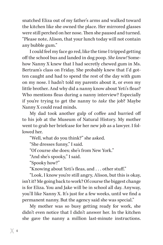snatched Eliza out of my father's arms and walked toward the kitchen like she owned the place. Her mirrored glasses were still perched on her nose. Then she paused and turned. "Please note, Alison, that your lunch today will not contain any bubble gum."

I could feel my face go red, like the time I tripped getting off the school bus and landed in dog poop. *She knew!* Somehow Nanny X knew that I had secretly chewed gum in Ms. Bertram's class on Friday. She probably knew that I'd gotten caught and had to spend the rest of the day with gum on my nose. I hadn't told my parents about it, or even my little brother. And why did a nanny know about Yeti's fleas? Who mentions fleas during a nanny interview? Especially if you're trying to get the nanny to *take* the job? Maybe Nanny X could read minds.

My dad took another gulp of coffee and hurried off to his job at the Museum of Natural History. My mother went to grab her briefcase for her new job as a lawyer. I followed her.

"Well, what do you think?" she asked.

"She dresses funny," I said.

"Of course she does; she's from New York."

"And she's spooky," I said.

"Spooky how?"

"Knowing about Yeti's fleas, and . . . other stuff."

"Look, I know you're still angry, Alison, but this is okay, isn't it? Me going back to work? Of course the biggest change is for Eliza. You and Jake will be in school all day. Anyway, you'll like Nanny X. It's just for a few weeks, until we find a permanent nanny. But the agency said she was special."

My mother was so busy getting ready for work, she didn't even notice that I didn't answer her. In the kitchen she gave the nanny a million last-minute instructions.